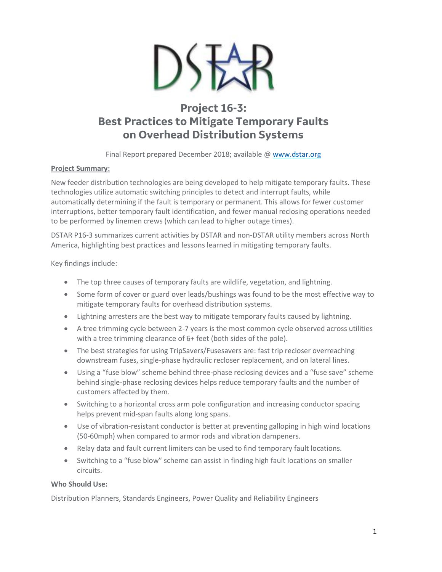

## **Project 16-3: Best Practices to Mitigate Temporary Faults on Overhead Distribution Systems**

Final Report prepared December 2018; available @ [www.dstar.org](http://www.dstar.org/research/project/108/P16-3-best-practices-to-mitigate-temporary-faults-on-overhead-distribution)

## **Project Summary:**

New feeder distribution technologies are being developed to help mitigate temporary faults. These technologies utilize automatic switching principles to detect and interrupt faults, while automatically determining if the fault is temporary or permanent. This allows for fewer customer interruptions, better temporary fault identification, and fewer manual reclosing operations needed to be performed by linemen crews (which can lead to higher outage times).

DSTAR P16-3 summarizes current activities by DSTAR and non-DSTAR utility members across North America, highlighting best practices and lessons learned in mitigating temporary faults.

Key findings include:

- The top three causes of temporary faults are wildlife, vegetation, and lightning.
- Some form of cover or guard over leads/bushings was found to be the most effective way to mitigate temporary faults for overhead distribution systems.
- Lightning arresters are the best way to mitigate temporary faults caused by lightning.
- A tree trimming cycle between 2-7 years is the most common cycle observed across utilities with a tree trimming clearance of 6+ feet (both sides of the pole).
- The best strategies for using TripSavers/Fusesavers are: fast trip recloser overreaching downstream fuses, single-phase hydraulic recloser replacement, and on lateral lines.
- Using a "fuse blow" scheme behind three-phase reclosing devices and a "fuse save" scheme behind single-phase reclosing devices helps reduce temporary faults and the number of customers affected by them.
- Switching to a horizontal cross arm pole configuration and increasing conductor spacing helps prevent mid-span faults along long spans.
- Use of vibration-resistant conductor is better at preventing galloping in high wind locations (50-60mph) when compared to armor rods and vibration dampeners.
- Relay data and fault current limiters can be used to find temporary fault locations.
- Switching to a "fuse blow" scheme can assist in finding high fault locations on smaller circuits.

## **Who Should Use:**

Distribution Planners, Standards Engineers, Power Quality and Reliability Engineers